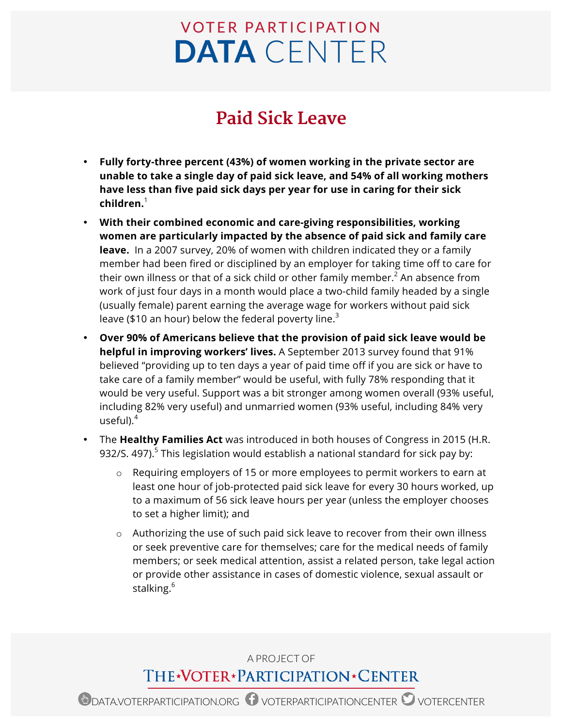## **VOTER PARTICIPATION DATA** CENTER

## **Paid Sick Leave**

- **Fully forty-three percent (43%) of women working in the private sector are unable to take a single day of paid sick leave, and 54% of all working mothers have less than five paid sick days per year for use in caring for their sick children.** 1
- **With their combined economic and care-giving responsibilities, working women are particularly impacted by the absence of paid sick and family care leave.** In a 2007 survey, 20% of women with children indicated they or a family member had been fired or disciplined by an employer for taking time off to care for their own illness or that of a sick child or other family member.<sup>2</sup> An absence from work of just four days in a month would place a two-child family headed by a single (usually female) parent earning the average wage for workers without paid sick leave (\$10 an hour) below the federal poverty line.<sup>3</sup>
- **Over 90% of Americans believe that the provision of paid sick leave would be helpful in improving workers' lives.** A September 2013 survey found that 91% believed "providing up to ten days a year of paid time off if you are sick or have to take care of a family member" would be useful, with fully 78% responding that it would be very useful. Support was a bit stronger among women overall (93% useful, including 82% very useful) and unmarried women (93% useful, including 84% very useful $)$ .<sup>4</sup>
- The **Healthy Families Act** was introduced in both houses of Congress in 2015 (H.R. 932/S. 497).<sup>5</sup> This legislation would establish a national standard for sick pay by:
	- $\circ$  Requiring employers of 15 or more employees to permit workers to earn at least one hour of job-protected paid sick leave for every 30 hours worked, up to a maximum of 56 sick leave hours per year (unless the employer chooses to set a higher limit); and
	- o Authorizing the use of such paid sick leave to recover from their own illness or seek preventive care for themselves; care for the medical needs of family members; or seek medical attention, assist a related person, take legal action or provide other assistance in cases of domestic violence, sexual assault or stalking.<sup>6</sup>

## A PROJECT OF THE\*VOTER\*PARTICIPATION\*CENTER

**D** DATA.VOTERPARTICIPATION.ORG  $\bullet$  voterparticipation CENTER  $\bullet$  votercenter